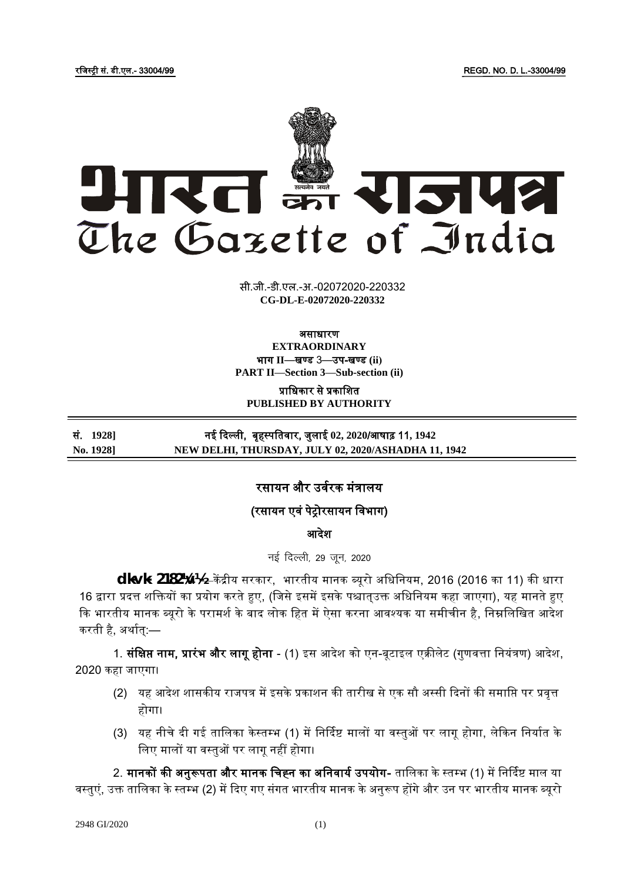रजिस्ट्री सं. डी.एल.- 33004/99 REGD. NO. D. L.-33004/99



सी.जी.-डी.एल.-अ.-02072020-220332 **xxxGIDExxx CG-DL-E-02072020-220332**

## असाधारण **EXTRAORDINARY**

भाग **II**—खण् ड 3—उप-खण् ड **(ii) PART II—Section 3—Sub-section (ii)**

प्राधिकार से प्रकाशित **PUBLISHED BY AUTHORITY**

सं. **1928]** नई कदल्ली, बृहस्ट् पजतर्ार, िुलाई **02, 2020**/आषाढ़ 11**, 1942 No. 1928] NEW DELHI, THURSDAY, JULY 02, 2020/ASHADHA 11, 1942**

# रसायन और उर्वरक मंत्रालय

# (रसायन एर्ं पेरोरसायन जर्भाग)

आदेश

नई दिल्ली, 29 जन, 2020

**dk-vk- 2182¼v½-**—कें द्रीय सरकार, भारतीय मानक ब्यूरो अजधजनयम, 2016 (2016 का 11) की धारा 16 द्वारा प्रदत्त शक्तियों का प्रयोग करते हुए, (जिसे इसमें इसके पश्चात्उक्त अधिनियम कहा जाएगा), यह मानते हुए कि भारतीय मानक ब्यूरो के परामर्श के बाद लोक हित में ऐसा करना आवश्यक या समीचीन है, निम्नलिखित आदेश करती है, अर्थात्:—

1. **संक्षिप्त नाम, प्रारंभ और लागू होना** - (1) इस आदेश को एन-बूटाइल एक्रीलेट (गुणवत्ता नियंत्रण) आदेश, 2020 कहा िाएगा।

- (2) यह आदेश शासकीय राजपत्र में इसके प्रकाशन की तारीख से एक सौ अस्सी दिनों की समाप्ति पर प्रवृत्त होगा।
- (3) यह नीचे दी गई तालिका केस्तम्भ (1) में निर्दिष्ट मालों या वस्तुओं पर लागू होगा, लेकिन निर्यात के लिए मालों या वस्तुओं पर लागू नहीं होगा।

2. मानकों की अनुरूपता और मानक चिह्न का अनिवार्य उपयोग- तालिका के स्तम्भ (1) में निर्दिष्ट माल या वस्तुएं, उक्त तालिका के स्तम्भ (2) में दिए गए संगत भारतीय मानक के अनुरूप होंगे और उन पर भारतीय मानक ब्यूरो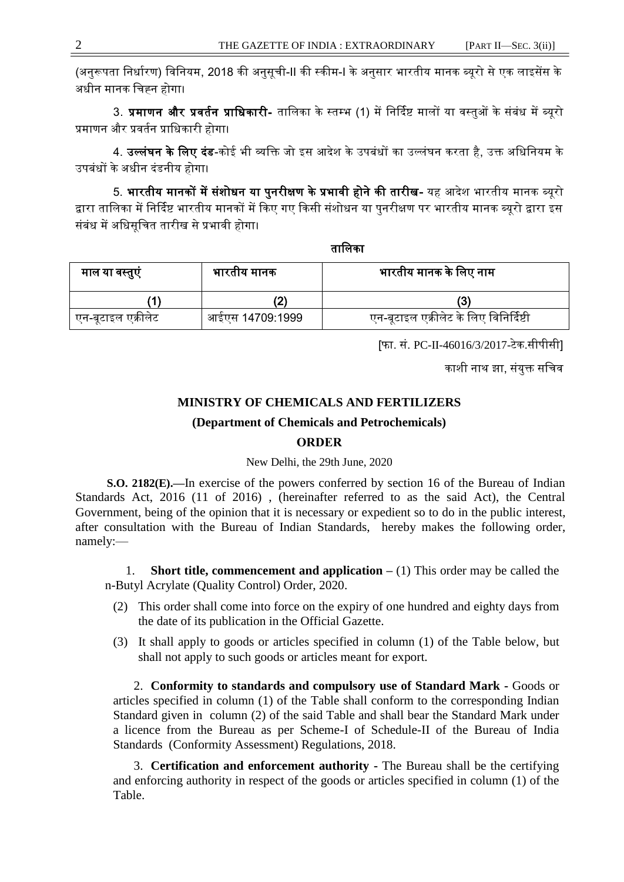(अनुरूपता जनधावरण) जर्जनयम, 2018 की अनुसूची-II की स्ट्कीम-I के अनुसार भारतीय मानक ब्यूरो से एक लाइसेंस के अधीन मानक जचह्न होगा।

3. प्रमाणन और प्रवर्तन प्राधिकारी- तालिका के स्तम्भ (1) में निर्दिष्ट मालों या वस्तुओं के संबंध में ब्यूरो प्रमाणन और प्रर्तवन प्राजधकारी होगा।

4. उल्लंघन के लिए दंड-कोई भी व्यक्ति जो इस आदेश के उपबंधों का उल्लंघन करता है, उक्त अधिनियम के उपबंधों के अधीन दंडनीय होगा।

5. भारतीय मानकों में संशोधन या पुनरीक्षण के प्रभावी होने की तारीख- यह आदेश भारतीय मानक ब्यूरो द्वारा तालिका में निर्दिष्ट भारतीय मानकों में किए गए किसी संशोधन या पुनरीक्षण पर भारतीय मानक ब्यूरो द्वारा इस संबंध में अजधसूजचत तारीख से प्रभार्ी होगा।

तालिका

| माल या वस्तुए      | भारतीय मानक     | भारतीय मानक के लिए नाम                 |
|--------------------|-----------------|----------------------------------------|
|                    |                 |                                        |
| एन-बूटाइल एक्रोलेट | आईएस 14709:1999 | एन-बूटाइल एक्रीलेट के लिए विनिर्दिष्टी |

[फा. सं. PC-II-46016/3/2017-टेक.सीपीसी]

काशी नाथ झा, संयुक्त सचिव

## **MINISTRY OF CHEMICALS AND FERTILIZERS**

### **(Department of Chemicals and Petrochemicals)**

## **ORDER**

New Delhi, the 29th June, 2020

**S.O. 2182(E).—**In exercise of the powers conferred by section 16 of the Bureau of Indian Standards Act, 2016 (11 of 2016) , (hereinafter referred to as the said Act), the Central Government, being of the opinion that it is necessary or expedient so to do in the public interest, after consultation with the Bureau of Indian Standards, hereby makes the following order, namely:—

1. **Short title, commencement and application –** (1) This order may be called the n-Butyl Acrylate (Quality Control) Order, 2020.

- (2) This order shall come into force on the expiry of one hundred and eighty days from the date of its publication in the Official Gazette.
- (3) It shall apply to goods or articles specified in column (1) of the Table below, but shall not apply to such goods or articles meant for export.

2. **Conformity to standards and compulsory use of Standard Mark -** Goods or articles specified in column (1) of the Table shall conform to the corresponding Indian Standard given in column (2) of the said Table and shall bear the Standard Mark under a licence from the Bureau as per Scheme-I of Schedule-II of the Bureau of India Standards (Conformity Assessment) Regulations, 2018.

3. **Certification and enforcement authority -** The Bureau shall be the certifying and enforcing authority in respect of the goods or articles specified in column (1) of the Table.